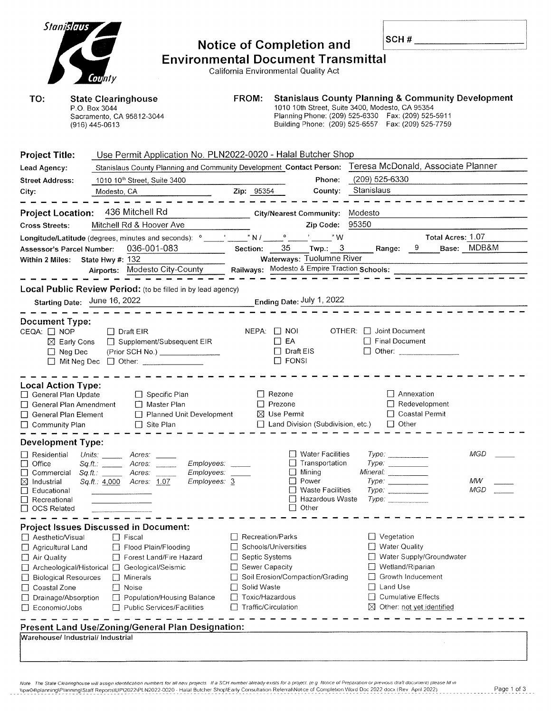| Stanislaus                                                                        |                                                                                              |                                                                            |                                                             |                                          |                                                                                                                                                                                                                                |                              |                                       |                                    |            |  |
|-----------------------------------------------------------------------------------|----------------------------------------------------------------------------------------------|----------------------------------------------------------------------------|-------------------------------------------------------------|------------------------------------------|--------------------------------------------------------------------------------------------------------------------------------------------------------------------------------------------------------------------------------|------------------------------|---------------------------------------|------------------------------------|------------|--|
|                                                                                   |                                                                                              |                                                                            |                                                             | <b>Notice of Completion and</b>          |                                                                                                                                                                                                                                |                              |                                       | SCH#                               |            |  |
| <b>Environmental Document Transmittal</b><br>California Environmental Quality Act |                                                                                              |                                                                            |                                                             |                                          |                                                                                                                                                                                                                                |                              |                                       |                                    |            |  |
|                                                                                   | County                                                                                       |                                                                            |                                                             |                                          |                                                                                                                                                                                                                                |                              |                                       |                                    |            |  |
| TO:                                                                               | <b>State Clearinghouse</b><br>P.O. Box 3044<br>Sacramento, CA 95812-3044<br>(916) 445-0613   |                                                                            | <b>FROM:</b>                                                |                                          | <b>Stanislaus County Planning &amp; Community Development</b><br>1010 10th Street, Suite 3400, Modesto, CA 95354<br>Planning Phone: (209) 525-6330  Fax: (209) 525-5911<br>Building Phone: (209) 525-6557  Fax: (209) 525-7759 |                              |                                       |                                    |            |  |
| <b>Project Title:</b>                                                             |                                                                                              | Use Permit Application No. PLN2022-0020 - Halal Butcher Shop               |                                                             |                                          |                                                                                                                                                                                                                                |                              |                                       |                                    |            |  |
| Lead Agency:                                                                      |                                                                                              | Stanislaus County Planning and Community Development Contact Person:       |                                                             |                                          |                                                                                                                                                                                                                                |                              |                                       | Teresa McDonald, Associate Planner |            |  |
|                                                                                   | <b>Street Address:</b><br>1010 10 <sup>th</sup> Street, Suite 3400                           |                                                                            |                                                             |                                          | Phone:                                                                                                                                                                                                                         | (209) 525-6330<br>Stanislaus |                                       |                                    |            |  |
| City:                                                                             | Modesto, CA <b>Modesto</b>                                                                   |                                                                            | Zip: 95354                                                  |                                          | County:                                                                                                                                                                                                                        |                              |                                       |                                    |            |  |
| <b>Project Location:</b>                                                          | 436 Mitchell Rd                                                                              |                                                                            |                                                             |                                          | City/Nearest Community: Modesto                                                                                                                                                                                                |                              |                                       |                                    |            |  |
| <b>Cross Streets:</b>                                                             | Mitchell Rd & Hoover Ave                                                                     |                                                                            |                                                             |                                          | Zip Code:                                                                                                                                                                                                                      | 95350                        |                                       |                                    |            |  |
|                                                                                   | Longitude/Latitude (degrees, minutes and seconds): $^{\circ}$ _____' N / _____° ____' ___ "W |                                                                            |                                                             |                                          |                                                                                                                                                                                                                                |                              |                                       | Total Acres: 1.07                  |            |  |
| <b>Assessor's Parcel Number:</b>                                                  | 036-001-083                                                                                  |                                                                            |                                                             |                                          | Section: 35 Twp.: 3 Range: 9 Base: MDB&M                                                                                                                                                                                       |                              |                                       |                                    |            |  |
|                                                                                   | Within 2 Miles: State Hwy #: 132                                                             |                                                                            |                                                             |                                          | Waterways: Tuolumne River                                                                                                                                                                                                      |                              |                                       |                                    |            |  |
|                                                                                   |                                                                                              | Airports: Modesto City-County Railways: Modesto & Empire Traction Schools: |                                                             |                                          |                                                                                                                                                                                                                                |                              |                                       |                                    |            |  |
|                                                                                   | Local Public Review Period: (to be filled in by lead agency)                                 |                                                                            |                                                             |                                          |                                                                                                                                                                                                                                |                              |                                       |                                    |            |  |
|                                                                                   | Starting Date: June 16, 2022                                                                 | Ending Date: <sup>July</sup> 1, 2022                                       |                                                             |                                          |                                                                                                                                                                                                                                |                              |                                       |                                    |            |  |
|                                                                                   |                                                                                              |                                                                            |                                                             |                                          |                                                                                                                                                                                                                                |                              |                                       |                                    |            |  |
| <b>Document Type:</b><br>CEQA: □ NOP                                              | $\Box$ Draft EIR                                                                             |                                                                            |                                                             | $NEPA:$ $\Box$ NOI                       |                                                                                                                                                                                                                                | OTHER: □ Joint Document      |                                       |                                    |            |  |
|                                                                                   | ⊠ Early Cons □ Supplement/Subsequent EIR                                                     |                                                                            |                                                             | $\Box$ EA                                |                                                                                                                                                                                                                                |                              | $\Box$ Final Document                 |                                    |            |  |
| $\Box$ Neg Dec                                                                    |                                                                                              | (Prior SCH No.) _______________                                            | $\Box$ Draft EIS                                            |                                          |                                                                                                                                                                                                                                |                              |                                       |                                    |            |  |
|                                                                                   | □ Mit Neg Dec □ Other: _____________                                                         |                                                                            |                                                             | $\Box$ FONSI                             |                                                                                                                                                                                                                                |                              |                                       |                                    |            |  |
|                                                                                   |                                                                                              |                                                                            |                                                             |                                          |                                                                                                                                                                                                                                |                              |                                       |                                    |            |  |
| <b>Local Action Type:</b><br>General Plan Update                                  |                                                                                              | □ Specific Plan                                                            |                                                             | $\Box$ Rezone                            |                                                                                                                                                                                                                                |                              | $\Box$ Annexation                     |                                    |            |  |
| $\Box$ General Plan Amendment                                                     |                                                                                              | $\Box$ Master Plan                                                         | $\Box$ Prezone                                              |                                          |                                                                                                                                                                                                                                | $\Box$ Redevelopment         |                                       |                                    |            |  |
| General Plan Element                                                              |                                                                                              | Planned Unit Development                                                   | $\boxtimes$ Use Permit<br>Land Division (Subdivision, etc.) |                                          |                                                                                                                                                                                                                                |                              | □ Coastal Permit                      |                                    |            |  |
| $\Box$ Community Plan                                                             | $\Box$ Site Plan                                                                             |                                                                            |                                                             |                                          |                                                                                                                                                                                                                                |                              | $\Box$ Other                          |                                    |            |  |
| <b>Development Type:</b>                                                          |                                                                                              |                                                                            |                                                             |                                          |                                                                                                                                                                                                                                |                              |                                       |                                    |            |  |
| ∐ Residential                                                                     | Units:<br>Acres:                                                                             |                                                                            |                                                             |                                          | <b>Water Facilities</b>                                                                                                                                                                                                        |                              | Type:                                 |                                    | <b>MGD</b> |  |
| Office<br>Commercial                                                              | Acres:<br>Sq.H.:<br>Acres:                                                                   | Employees:<br>Employees:                                                   |                                                             |                                          | Transportation<br>Mining                                                                                                                                                                                                       |                              | Type:<br>Mineral: ___________         |                                    |            |  |
| $\sqcup$<br>⊠<br>Industrial                                                       | Acres: 1.07<br>Sq.ft.: 4,000                                                                 | Employees: 3                                                               |                                                             |                                          | Power                                                                                                                                                                                                                          |                              | Type: Type:                           |                                    | MW         |  |
| Educational                                                                       |                                                                                              |                                                                            |                                                             |                                          | <b>Waste Facilities</b>                                                                                                                                                                                                        |                              | Type:                                 |                                    | MGD        |  |
| Recreational<br>$\Box$<br><b>OCS Related</b>                                      |                                                                                              |                                                                            |                                                             |                                          | <b>Hazardous Waste</b><br>Other                                                                                                                                                                                                |                              | Type:                                 |                                    |            |  |
|                                                                                   |                                                                                              |                                                                            |                                                             |                                          |                                                                                                                                                                                                                                |                              |                                       |                                    |            |  |
|                                                                                   | <b>Project Issues Discussed in Document:</b>                                                 |                                                                            |                                                             |                                          |                                                                                                                                                                                                                                |                              |                                       |                                    |            |  |
| □ Aesthetic/Visual<br>Agricultural Land                                           | $\Box$ Fiscal<br>□ Flood Plain/Flooding                                                      |                                                                            |                                                             | Recreation/Parks<br>Schools/Universities |                                                                                                                                                                                                                                |                              | $\Box$ Vegetation<br>□ Water Quality  |                                    |            |  |
| $\Box$ Air Quality                                                                | Forest Land/Fire Hazard                                                                      |                                                                            |                                                             | Septic Systems                           |                                                                                                                                                                                                                                |                              |                                       | □ Water Supply/Groundwater         |            |  |
|                                                                                   | □ Archeological/Historical □ Geological/Seismic                                              |                                                                            |                                                             | Sewer Capacity                           |                                                                                                                                                                                                                                |                              | □ Wetland/Riparian                    |                                    |            |  |
| □ Biological Resources                                                            | $\Box$ Minerals                                                                              |                                                                            |                                                             |                                          | Soil Erosion/Compaction/Grading                                                                                                                                                                                                |                              | Growth Inducement                     |                                    |            |  |
| □ Coastal Zone                                                                    | Noise                                                                                        |                                                                            | Solid Waste                                                 | Toxic/Hazardous                          |                                                                                                                                                                                                                                |                              | Land Use<br><b>Cumulative Effects</b> |                                    |            |  |
| Drainage/Absorption<br>Economic/Jobs                                              |                                                                                              | Population/Housing Balance<br><b>Public Services/Facilities</b>            |                                                             | Traffic/Circulation                      |                                                                                                                                                                                                                                |                              | $\boxtimes$ Other: not yet identified |                                    |            |  |
|                                                                                   |                                                                                              |                                                                            |                                                             |                                          |                                                                                                                                                                                                                                |                              |                                       |                                    |            |  |
|                                                                                   | Present Land Use/Zoning/General Plan Designation:                                            |                                                                            |                                                             |                                          |                                                                                                                                                                                                                                |                              |                                       |                                    |            |  |
|                                                                                   | Warehouse/ Industrial/ Industrial                                                            |                                                                            |                                                             |                                          |                                                                                                                                                                                                                                |                              |                                       |                                    |            |  |
|                                                                                   |                                                                                              |                                                                            |                                                             |                                          |                                                                                                                                                                                                                                |                              |                                       |                                    |            |  |

Note. The State Clearinghouse will assign identification numbers for all new projects. If a SCH number already exists for a project, (e.g. Notice of Preparation or previous draft document) please fill in<br>Npw04\planning\Pla . . . . . . . . . . . . .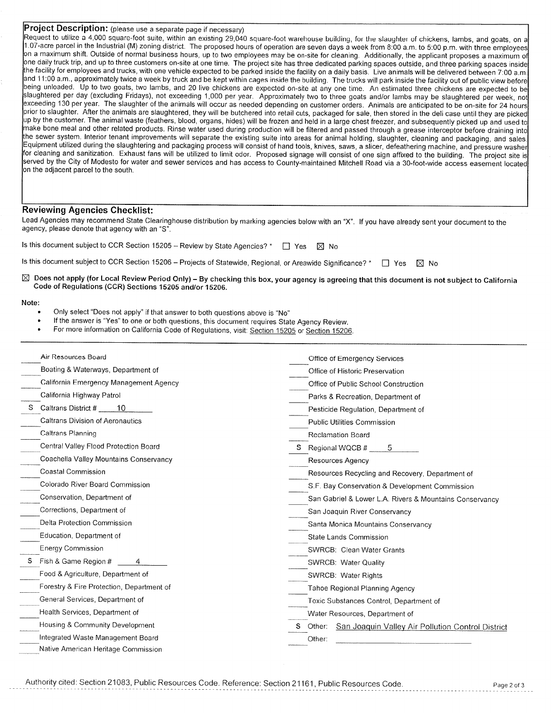## Project Description: (please use a separate page if necessary)

Request to utilize a 4,000 square-foot suite, within an existing 29,040 square-foot warehouse building, for the slaughter of chickens, lambs, and goats, on a 1.07-acre parcel in the Industrial (M) zoning district. The proposed hours of operation are seven days a week from 8:00 a.m. to 5:00 p.m. with three employees on a maximum shift. Outside of normal business hours, up to two employees may be on-site for cleaning. Additionally, the applicant proposes a maximum of<br>one daily truck trip, and up to three customers on-site at one time. the facility for employees and trucks, with one vehicle expected to be parked inside the facility on a daily basis. Live animals will be delivered between 7:00 a.m. and 11:00 a.m., approximately twice a week by truck and be kept within cages inside the building. The trucks will park inside the facility out of public view before being unloaded. Up to two goats, two lambs, and 20 live chickens are expected on-site at any one time. An estimated three chickens are expected to be slaughtered per day (excluding Fridays), not exceeding 1,000 per year. Approximately two to three goats and/or lambs may be slaughtered per week, not exceeding 130 per year. The slaughter of the animals will occur as needed depending on customer orders. Animals are anticipated to be on-site for 24 hours prior to slaughter. After the animals are slaughtered, they will be butchered into retail cuts, packaged for sale, then stored in the deli case until they are picked<br>lup by the customer. The animal waste (feathers, blood, make bone meal and other related products. Rinse water used during production will be filtered and passed through a grease interceptor before draining into<br>the sewer system. Interior tenant improvements will separate the e Equipment utilized during the slaughtering and packaging process will consist of hand tools, knives, saws, a slicer, defeathering machine, and pressure washer for cleaning and sanitization. Exhaust fans will be utilized to limit odor. Proposed signage will consist of one sign affixed to the building. The project site is served by the City of Modesto for water and sewer services and has access to County-maintained Mitchell Road via a 30-foot-wide access easement located on the adjacent parcel to the south.

## Reviewing Agencies Checklist:

Lead Agencies may recommend State Clearinghouse distribution by marking agencies below with an "X" lf you have already sent your document to the agency, please denote that agency with an "S".

Is this document subject to CCR Section 15205 - Review by State Agencies? \*  $\Box$  Yes  $\boxtimes$  No

Is this document subject to CCR Section 15206 - Projects of Statewide, Regional, or Areawide Significance? \*  $\Box$  Yes  $\boxtimes$  No

 $\boxtimes$  Does not apply (for Local Review Period Only) – By checking this box, your agency is agreeing that this document is not subject to California Code of Reguiations (CCR) Sections 15205 and/or 15206.

## Note:

- . Only select "Does not apply" if that answer to both questions above is "No"
- . lf ihe answer is "Yes" to one or both questions, this document requires State Agency Review.
- For more information on California Code of Regulations, visit: Section 15205 or Section 15206.

| Air Resources Board                       | Office of Emergency Services                               |  |  |  |  |
|-------------------------------------------|------------------------------------------------------------|--|--|--|--|
| Boating & Waterways, Department of        | Office of Historic Preservation                            |  |  |  |  |
| California Emergency Management Agency    | Office of Public School Construction                       |  |  |  |  |
| California Highway Patrol                 | Parks & Recreation, Department of                          |  |  |  |  |
| S<br>Caltrans District # 10               | Pesticide Regulation, Department of                        |  |  |  |  |
| Caltrans Division of Aeronautics          | <b>Public Utilities Commission</b>                         |  |  |  |  |
| <b>Caltrans Planning</b>                  | <b>Reclamation Board</b>                                   |  |  |  |  |
| Central Valley Flood Protection Board     | Regional WQCB #<br>-5.                                     |  |  |  |  |
| Coachella Valley Mountains Conservancy    | Resources Agency                                           |  |  |  |  |
| Coastal Commission                        | Resources Recycling and Recovery, Department of            |  |  |  |  |
| Colorado River Board Commission           | S.F. Bay Conservation & Development Commission             |  |  |  |  |
| Conservation, Department of               | San Gabriel & Lower L.A. Rivers & Mountains Conservancy    |  |  |  |  |
| Corrections, Department of                | San Joaquin River Conservancy                              |  |  |  |  |
| Delta Protection Commission               | Santa Monica Mountains Conservancy                         |  |  |  |  |
| Education, Department of                  | State Lands Commission                                     |  |  |  |  |
| <b>Energy Commission</b>                  | SWRCB: Clean Water Grants                                  |  |  |  |  |
| Fish & Game Region #<br>s                 | SWRCB: Water Quality                                       |  |  |  |  |
| Food & Agriculture, Department of         | SWRCB: Water Rights                                        |  |  |  |  |
| Forestry & Fire Protection, Department of | Tahoe Regional Planning Agency                             |  |  |  |  |
| General Services, Department of           | Toxic Substances Control, Department of                    |  |  |  |  |
| Health Services, Department of            | Water Resources, Department of                             |  |  |  |  |
| Housing & Community Development           | S Other: San Joaquin Valley Air Pollution Control District |  |  |  |  |
| Integrated Waste Management Board         | Other:                                                     |  |  |  |  |
| Native American Heritage Commission       |                                                            |  |  |  |  |